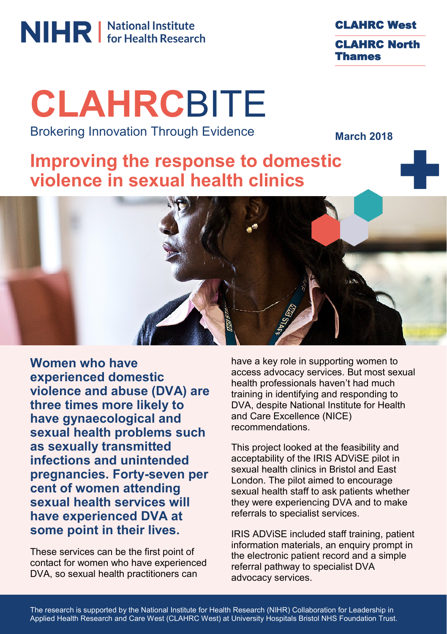# **NIHR** Mational Institute

CLAHRC West CLAHRC North Thames

## **CLAHRC**BITE Brokering Innovation Through Evidence

**March 2018**

### **Improving the response to domestic violence in sexual health clinics**



**Women who have experienced domestic violence and abuse (DVA) are three times more likely to have gynaecological and sexual health problems such as sexually transmitted infections and unintended pregnancies. Forty-seven per cent of women attending sexual health services will have experienced DVA at some point in their lives.**

These services can be the first point of contact for women who have experienced DVA, so sexual health practitioners can

have a key role in supporting women to access advocacy services. But most sexual health professionals haven't had much training in identifying and responding to DVA, despite National Institute for Health and Care Excellence (NICE) recommendations.

This project looked at the feasibility and acceptability of the IRIS ADViSE pilot in sexual health clinics in Bristol and East London. The pilot aimed to encourage sexual health staff to ask patients whether they were experiencing DVA and to make referrals to specialist services.

IRIS ADViSE included staff training, patient information materials, an enquiry prompt in the electronic patient record and a simple referral pathway to specialist DVA advocacy services.